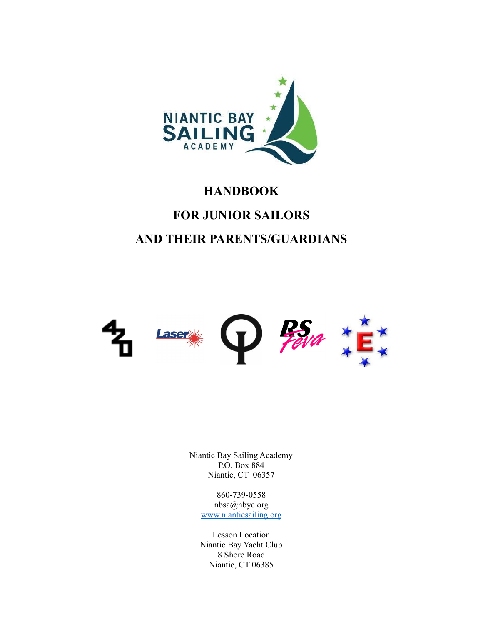

# **HANDBOOK FOR JUNIOR SAILORS AND THEIR PARENTS/GUARDIANS**



Niantic Bay Sailing Academy P.O. Box 884 Niantic, CT 06357

> 860-739-0558 nbsa@nbyc.org [www.nianticsailing.org](http://www.nianticsailing.org)

Lesson Location Niantic Bay Yacht Club 8 Shore Road Niantic, CT 06385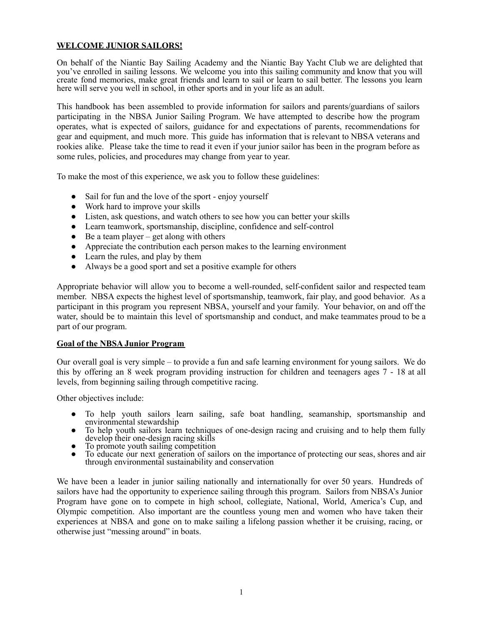## **WELCOME JUNIOR SAILORS!**

On behalf of the Niantic Bay Sailing Academy and the Niantic Bay Yacht Club we are delighted that you've enrolled in sailing lessons. We welcome you into this sailing community and know that you will create fond memories, make great friends and learn to sail or learn to sail better. The lessons you learn here will serve you well in school, in other sports and in your life as an adult.

This handbook has been assembled to provide information for sailors and parents/guardians of sailors participating in the NBSA Junior Sailing Program. We have attempted to describe how the program operates, what is expected of sailors, guidance for and expectations of parents, recommendations for gear and equipment, and much more. This guide has information that is relevant to NBSA veterans and rookies alike. Please take the time to read it even if your junior sailor has been in the program before as some rules, policies, and procedures may change from year to year.

To make the most of this experience, we ask you to follow these guidelines:

- Sail for fun and the love of the sport enjoy yourself
- Work hard to improve your skills
- Listen, ask questions, and watch others to see how you can better your skills
- Learn teamwork, sportsmanship, discipline, confidence and self-control
- $\bullet$  Be a team player get along with others
- Appreciate the contribution each person makes to the learning environment
- Learn the rules, and play by them
- Always be a good sport and set a positive example for others

Appropriate behavior will allow you to become a well-rounded, self-confident sailor and respected team member. NBSA expects the highest level of sportsmanship, teamwork, fair play, and good behavior. As a participant in this program you represent NBSA, yourself and your family. Your behavior, on and off the water, should be to maintain this level of sportsmanship and conduct, and make teammates proud to be a part of our program.

#### **Goal of the NBSA Junior Program**

Our overall goal is very simple – to provide a fun and safe learning environment for young sailors. We do this by offering an 8 week program providing instruction for children and teenagers ages 7 - 18 at all levels, from beginning sailing through competitive racing.

Other objectives include:

- To help youth sailors learn sailing, safe boat handling, seamanship, sportsmanship and environmental stewardship
- To help youth sailors learn techniques of one-design racing and cruising and to help them fully develop their one-design racing skills
- To promote youth sailing competition<br>• To educate our next generation of sail
- To educate our next generation of sailors on the importance of protecting our seas, shores and air through environmental sustainability and conservation

We have been a leader in junior sailing nationally and internationally for over 50 years. Hundreds of sailors have had the opportunity to experience sailing through this program. Sailors from NBSA's Junior Program have gone on to compete in high school, collegiate, National, World, America's Cup, and Olympic competition. Also important are the countless young men and women who have taken their experiences at NBSA and gone on to make sailing a lifelong passion whether it be cruising, racing, or otherwise just "messing around" in boats.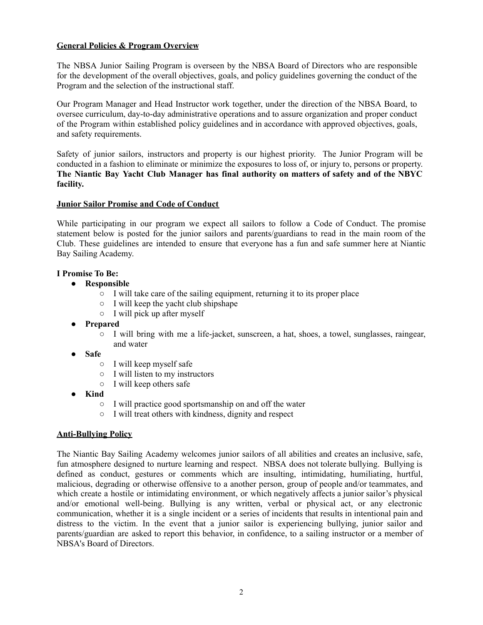## **General Policies & Program Overview**

The NBSA Junior Sailing Program is overseen by the NBSA Board of Directors who are responsible for the development of the overall objectives, goals, and policy guidelines governing the conduct of the Program and the selection of the instructional staff.

Our Program Manager and Head Instructor work together, under the direction of the NBSA Board, to oversee curriculum, day-to-day administrative operations and to assure organization and proper conduct of the Program within established policy guidelines and in accordance with approved objectives, goals, and safety requirements.

Safety of junior sailors, instructors and property is our highest priority. The Junior Program will be conducted in a fashion to eliminate or minimize the exposures to loss of, or injury to, persons or property. **The Niantic Bay Yacht Club Manager has final authority on matters of safety and of the NBYC facility.**

#### **Junior Sailor Promise and Code of Conduct**

While participating in our program we expect all sailors to follow a Code of Conduct. The promise statement below is posted for the junior sailors and parents/guardians to read in the main room of the Club. These guidelines are intended to ensure that everyone has a fun and safe summer here at Niantic Bay Sailing Academy.

#### **I Promise To Be:**

- **● Responsible**
	- I will take care of the sailing equipment, returning it to its proper place
	- I will keep the yacht club shipshape
	- I will pick up after myself
- **● Prepared**
	- I will bring with me a life-jacket, sunscreen, a hat, shoes, a towel, sunglasses, raingear, and water
- **● Safe**
	- I will keep myself safe
	- I will listen to my instructors
	- I will keep others safe
- **● Kind**
	- **○** I will practice good sportsmanship on and off the water
	- **○** I will treat others with kindness, dignity and respect

#### **Anti-Bullying Policy**

The Niantic Bay Sailing Academy welcomes junior sailors of all abilities and creates an inclusive, safe, fun atmosphere designed to nurture learning and respect. NBSA does not tolerate bullying. Bullying is defined as conduct, gestures or comments which are insulting, intimidating, humiliating, hurtful, malicious, degrading or otherwise offensive to a another person, group of people and/or teammates, and which create a hostile or intimidating environment, or which negatively affects a junior sailor's physical and/or emotional well-being. Bullying is any written, verbal or physical act, or any electronic communication, whether it is a single incident or a series of incidents that results in intentional pain and distress to the victim. In the event that a junior sailor is experiencing bullying, junior sailor and parents/guardian are asked to report this behavior, in confidence, to a sailing instructor or a member of NBSA's Board of Directors.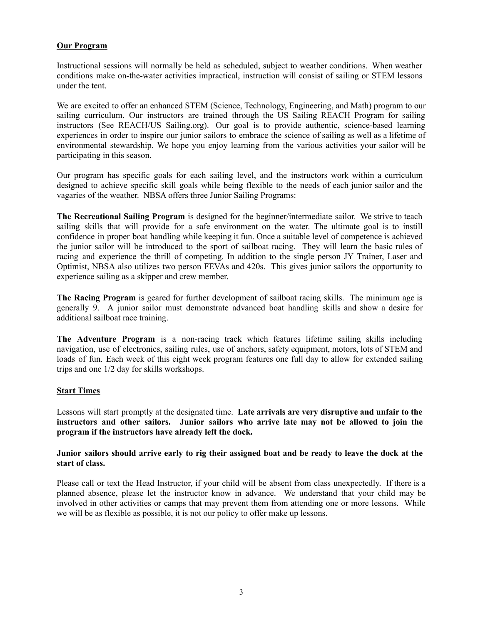## **Our Program**

Instructional sessions will normally be held as scheduled, subject to weather conditions. When weather conditions make on-the-water activities impractical, instruction will consist of sailing or STEM lessons under the tent.

We are excited to offer an enhanced STEM (Science, Technology, Engineering, and Math) program to our sailing curriculum. Our instructors are trained through the US Sailing REACH Program for sailing instructors (See REACH/US Sailing.org). Our goal is to provide authentic, science-based learning experiences in order to inspire our junior sailors to embrace the science of sailing as well as a lifetime of environmental stewardship. We hope you enjoy learning from the various activities your sailor will be participating in this season.

Our program has specific goals for each sailing level, and the instructors work within a curriculum designed to achieve specific skill goals while being flexible to the needs of each junior sailor and the vagaries of the weather. NBSA offers three Junior Sailing Programs:

**The Recreational Sailing Program** is designed for the beginner/intermediate sailor. We strive to teach sailing skills that will provide for a safe environment on the water. The ultimate goal is to instill confidence in proper boat handling while keeping it fun. Once a suitable level of competence is achieved the junior sailor will be introduced to the sport of sailboat racing. They will learn the basic rules of racing and experience the thrill of competing. In addition to the single person JY Trainer, Laser and Optimist, NBSA also utilizes two person FEVAs and 420s. This gives junior sailors the opportunity to experience sailing as a skipper and crew member.

**The Racing Program** is geared for further development of sailboat racing skills. The minimum age is generally 9. A junior sailor must demonstrate advanced boat handling skills and show a desire for additional sailboat race training.

**The Adventure Program** is a non-racing track which features lifetime sailing skills including navigation, use of electronics, sailing rules, use of anchors, safety equipment, motors, lots of STEM and loads of fun. Each week of this eight week program features one full day to allow for extended sailing trips and one 1/2 day for skills workshops.

#### **Start Times**

Lessons will start promptly at the designated time. **Late arrivals are very disruptive and unfair to the instructors and other sailors. Junior sailors who arrive late may not be allowed to join the program if the instructors have already left the dock.**

Junior sailors should arrive early to rig their assigned boat and be ready to leave the dock at the **start of class.**

Please call or text the Head Instructor, if your child will be absent from class unexpectedly. If there is a planned absence, please let the instructor know in advance. We understand that your child may be involved in other activities or camps that may prevent them from attending one or more lessons. While we will be as flexible as possible, it is not our policy to offer make up lessons.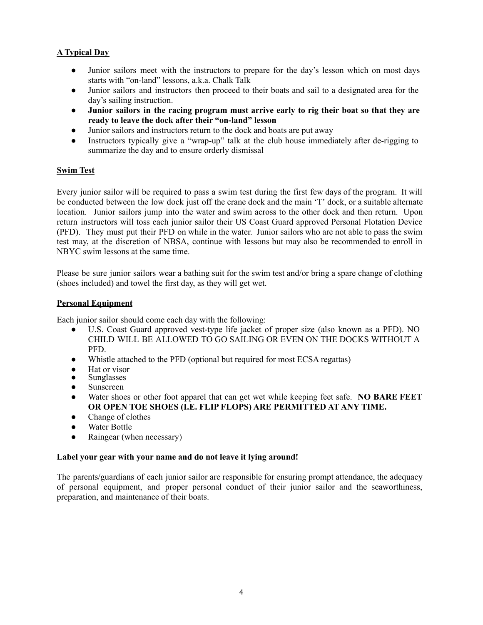# **A Typical Day**

- **●** Junior sailors meet with the instructors to prepare for the day's lesson which on most days starts with "on-land" lessons, a.k.a. Chalk Talk
- Junior sailors and instructors then proceed to their boats and sail to a designated area for the day's sailing instruction.
- **Junior sailors in the racing program must arrive early to rig their boat so that they are ready to leave the dock after their "on-land" lesson**
- Junior sailors and instructors return to the dock and boats are put away
- Instructors typically give a "wrap-up" talk at the club house immediately after de-rigging to summarize the day and to ensure orderly dismissal

## **Swim Test**

Every junior sailor will be required to pass a swim test during the first few days of the program. It will be conducted between the low dock just off the crane dock and the main 'T' dock, or a suitable alternate location. Junior sailors jump into the water and swim across to the other dock and then return. Upon return instructors will toss each junior sailor their US Coast Guard approved Personal Flotation Device (PFD). They must put their PFD on while in the water. Junior sailors who are not able to pass the swim test may, at the discretion of NBSA, continue with lessons but may also be recommended to enroll in NBYC swim lessons at the same time.

Please be sure junior sailors wear a bathing suit for the swim test and/or bring a spare change of clothing (shoes included) and towel the first day, as they will get wet.

## **Personal Equipment**

Each junior sailor should come each day with the following:

- U.S. Coast Guard approved vest-type life jacket of proper size (also known as a PFD). NO CHILD WILL BE ALLOWED TO GO SAILING OR EVEN ON THE DOCKS WITHOUT A PFD.
- Whistle attached to the PFD (optional but required for most ECSA regattas)
- Hat or visor
- **Sunglasses**
- Sunscreen
- **●** Water shoes or other foot apparel that can get wet while keeping feet safe. **NO BARE FEET OR OPEN TOE SHOES (I.E. FLIP FLOPS) ARE PERMITTED AT ANY TIME.**
- Change of clothes
- Water Bottle
- Raingear (when necessary)

#### **Label your gear with your name and do not leave it lying around!**

The parents/guardians of each junior sailor are responsible for ensuring prompt attendance, the adequacy of personal equipment, and proper personal conduct of their junior sailor and the seaworthiness, preparation, and maintenance of their boats.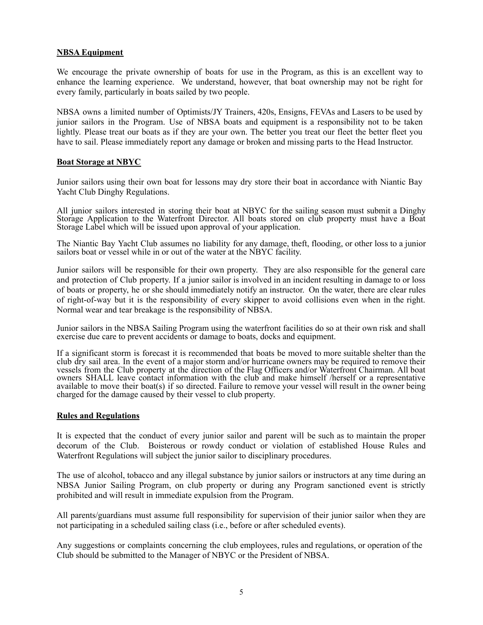#### **NBSA Equipment**

We encourage the private ownership of boats for use in the Program, as this is an excellent way to enhance the learning experience. We understand, however, that boat ownership may not be right for every family, particularly in boats sailed by two people.

NBSA owns a limited number of Optimists/JY Trainers, 420s, Ensigns, FEVAs and Lasers to be used by junior sailors in the Program. Use of NBSA boats and equipment is a responsibility not to be taken lightly. Please treat our boats as if they are your own. The better you treat our fleet the better fleet you have to sail. Please immediately report any damage or broken and missing parts to the Head Instructor.

#### **Boat Storage at NBYC**

Junior sailors using their own boat for lessons may dry store their boat in accordance with Niantic Bay Yacht Club Dinghy Regulations.

All junior sailors interested in storing their boat at NBYC for the sailing season must submit a Dinghy Storage Application to the Waterfront Director. All boats stored on club property must have a Boat Storage Label which will be issued upon approval of your application.

The Niantic Bay Yacht Club assumes no liability for any damage, theft, flooding, or other loss to a junior sailors boat or vessel while in or out of the water at the NBYC facility.

Junior sailors will be responsible for their own property. They are also responsible for the general care and protection of Club property. If a junior sailor is involved in an incident resulting in damage to or loss of boats or property, he or she should immediately notify an instructor. On the water, there are clear rules of right-of-way but it is the responsibility of every skipper to avoid collisions even when in the right. Normal wear and tear breakage is the responsibility of NBSA.

Junior sailors in the NBSA Sailing Program using the waterfront facilities do so at their own risk and shall exercise due care to prevent accidents or damage to boats, docks and equipment.

If a significant storm is forecast it is recommended that boats be moved to more suitable shelter than the club dry sail area. In the event of a major storm and/or hurricane owners may be required to remove their vessels from the Club property at the direction of the Flag Officers and/or Waterfront Chairman. All boat owners SHALL leave contact information with the club and make himself /herself or a representative available to move their boat(s) if so directed. Failure to remove your vessel will result in the owner being charged for the damage caused by their vessel to club property.

#### **Rules and Regulations**

It is expected that the conduct of every junior sailor and parent will be such as to maintain the proper decorum of the Club. Boisterous or rowdy conduct or violation of established House Rules and Waterfront Regulations will subject the junior sailor to disciplinary procedures.

The use of alcohol, tobacco and any illegal substance by junior sailors or instructors at any time during an NBSA Junior Sailing Program, on club property or during any Program sanctioned event is strictly prohibited and will result in immediate expulsion from the Program.

All parents/guardians must assume full responsibility for supervision of their junior sailor when they are not participating in a scheduled sailing class (i.e., before or after scheduled events).

Any suggestions or complaints concerning the club employees, rules and regulations, or operation of the Club should be submitted to the Manager of NBYC or the President of NBSA.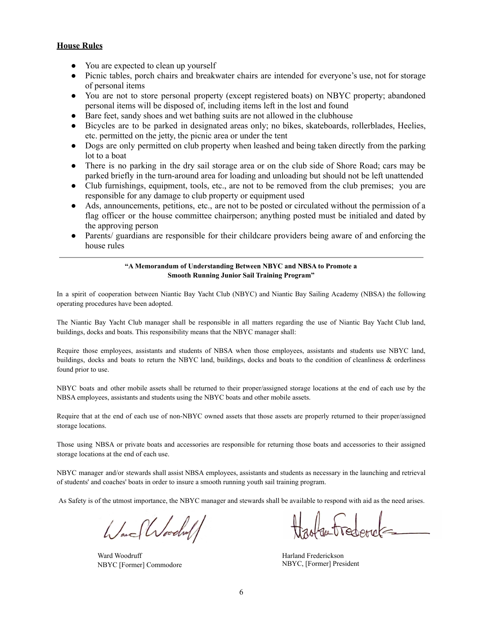#### **House Rules**

- You are expected to clean up yourself
- Picnic tables, porch chairs and breakwater chairs are intended for everyone's use, not for storage of personal items
- You are not to store personal property (except registered boats) on NBYC property; abandoned personal items will be disposed of, including items left in the lost and found
- Bare feet, sandy shoes and wet bathing suits are not allowed in the clubhouse
- Bicycles are to be parked in designated areas only; no bikes, skateboards, rollerblades, Heelies, etc. permitted on the jetty, the picnic area or under the tent
- Dogs are only permitted on club property when leashed and being taken directly from the parking lot to a boat
- There is no parking in the dry sail storage area or on the club side of Shore Road; cars may be parked briefly in the turn-around area for loading and unloading but should not be left unattended
- Club furnishings, equipment, tools, etc., are not to be removed from the club premises; you are responsible for any damage to club property or equipment used
- Ads, announcements, petitions, etc., are not to be posted or circulated without the permission of a flag officer or the house committee chairperson; anything posted must be initialed and dated by the approving person
- Parents/ guardians are responsible for their childcare providers being aware of and enforcing the house rules

#### **"A Memorandum of Understanding Between NBYC and NBSA to Promote a Smooth Running Junior Sail Training Program"**

In a spirit of cooperation between Niantic Bay Yacht Club (NBYC) and Niantic Bay Sailing Academy (NBSA) the following operating procedures have been adopted.

The Niantic Bay Yacht Club manager shall be responsible in all matters regarding the use of Niantic Bay Yacht Club land, buildings, docks and boats. This responsibility means that the NBYC manager shall:

Require those employees, assistants and students of NBSA when those employees, assistants and students use NBYC land, buildings, docks and boats to return the NBYC land, buildings, docks and boats to the condition of cleanliness & orderliness found prior to use.

NBYC boats and other mobile assets shall be returned to their proper/assigned storage locations at the end of each use by the NBSA employees, assistants and students using the NBYC boats and other mobile assets.

Require that at the end of each use of non-NBYC owned assets that those assets are properly returned to their proper/assigned storage locations.

Those using NBSA or private boats and accessories are responsible for returning those boats and accessories to their assigned storage locations at the end of each use.

NBYC manager and/or stewards shall assist NBSA employees, assistants and students as necessary in the launching and retrieval of students' and coaches' boats in order to insure a smooth running youth sail training program.

As Safety is of the utmost importance, the NBYC manager and stewards shall be available to respond with aid as the need arises.

Ware Woodling

Ward Woodruff NBYC [Former] Commodore

Harland Frederickson NBYC, [Former] President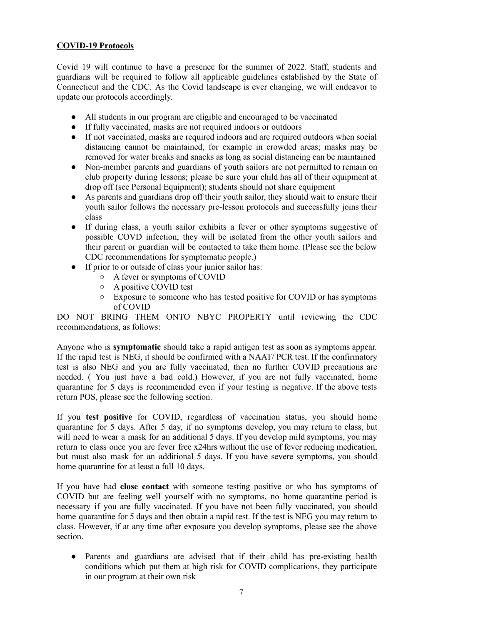## **COVID-19 Protocols**

Covid 19 will continue to have a presence for the summer of 2022. Staff, students and guardians will be required to follow all applicable guidelines established by the State of Connecticut and the CDC. As the Covid landscape is ever changing, we will endeavor to update our protocols accordingly.

- All students in our program are eligible and encouraged to be vaccinated
- If fully vaccinated, masks are not required indoors or outdoors
- If not vaccinated, masks are required indoors and are required outdoors when social distancing cannot be maintained, for example in crowded areas; masks may be removed for water breaks and snacks as long as social distancing can be maintained
- Non-member parents and guardians of youth sailors are not permitted to remain on club property during lessons; please be sure your child has all of their equipment at drop off (see Personal Equipment); students should not share equipment
- As parents and guardians drop off their youth sailor, they should wait to ensure their youth sailor follows the necessary pre-lesson protocols and successfully joins their class
- If during class, a youth sailor exhibits a fever or other symptoms suggestive of possible COVD infection, they will be isolated from the other youth sailors and their parent or guardian will be contacted to take them home. (Please see the below CDC recommendations for symptomatic people.)
- If prior to or outside of class your junior sailor has:
	- A fever or symptoms of COVID
	- A positive COVID test
	- Exposure to someone who has tested positive for COVID or has symptoms of COVID

DO NOT BRING THEM ONTO NBYC PROPERTY until reviewing the CDC recommendations, as follows:

Anyone who is **symptomatic** should take a rapid antigen test as soon as symptoms appear. If the rapid test is NEG, it should be confirmed with a NAAT/ PCR test. If the confirmatory test is also NEG and you are fully vaccinated, then no further COVID precautions are needed. ( You just have a bad cold.) However, if you are not fully vaccinated, home quarantine for 5 days is recommended even if your testing is negative. If the above tests return POS, please see the following section.

If you **test positive** for COVID, regardless of vaccination status, you should home quarantine for 5 days. After 5 day, if no symptoms develop, you may return to class, but will need to wear a mask for an additional 5 days. If you develop mild symptoms, you may return to class once you are fever free x24hrs without the use of fever reducing medication, but must also mask for an additional 5 days. If you have severe symptoms, you should home quarantine for at least a full 10 days.

If you have had **close contact** with someone testing positive or who has symptoms of COVID but are feeling well yourself with no symptoms, no home quarantine period is necessary if you are fully vaccinated. If you have not been fully vaccinated, you should home quarantine for 5 days and then obtain a rapid test. If the test is NEG you may return to class. However, if at any time after exposure you develop symptoms, please see the above section.

● Parents and guardians are advised that if their child has pre-existing health conditions which put them at high risk for COVID complications, they participate in our program at their own risk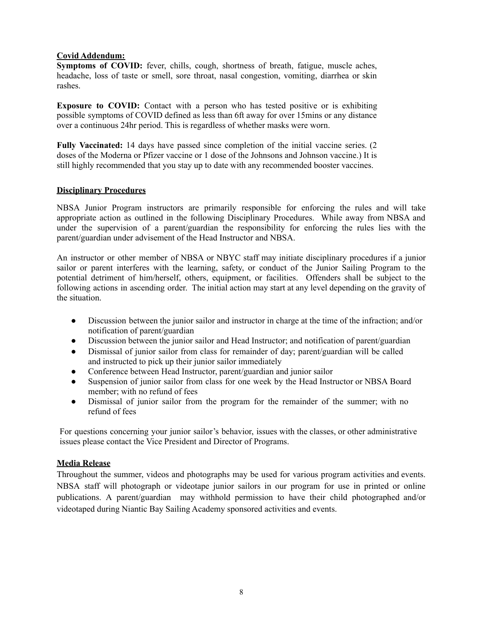#### **Covid Addendum:**

**Symptoms of COVID:** fever, chills, cough, shortness of breath, fatigue, muscle aches, headache, loss of taste or smell, sore throat, nasal congestion, vomiting, diarrhea or skin rashes.

**Exposure to COVID:** Contact with a person who has tested positive or is exhibiting possible symptoms of COVID defined as less than 6ft away for over 15mins or any distance over a continuous 24hr period. This is regardless of whether masks were worn.

**Fully Vaccinated:** 14 days have passed since completion of the initial vaccine series. (2 doses of the Moderna or Pfizer vaccine or 1 dose of the Johnsons and Johnson vaccine.) It is still highly recommended that you stay up to date with any recommended booster vaccines.

#### **Disciplinary Procedures**

NBSA Junior Program instructors are primarily responsible for enforcing the rules and will take appropriate action as outlined in the following Disciplinary Procedures. While away from NBSA and under the supervision of a parent/guardian the responsibility for enforcing the rules lies with the parent/guardian under advisement of the Head Instructor and NBSA.

An instructor or other member of NBSA or NBYC staff may initiate disciplinary procedures if a junior sailor or parent interferes with the learning, safety, or conduct of the Junior Sailing Program to the potential detriment of him/herself, others, equipment, or facilities. Offenders shall be subject to the following actions in ascending order. The initial action may start at any level depending on the gravity of the situation.

- Discussion between the junior sailor and instructor in charge at the time of the infraction; and/or notification of parent/guardian
- Discussion between the junior sailor and Head Instructor; and notification of parent/guardian
- Dismissal of junior sailor from class for remainder of day; parent/guardian will be called and instructed to pick up their junior sailor immediately
- Conference between Head Instructor, parent/guardian and junior sailor
- Suspension of junior sailor from class for one week by the Head Instructor or NBSA Board member; with no refund of fees
- Dismissal of junior sailor from the program for the remainder of the summer; with no refund of fees

For questions concerning your junior sailor's behavior, issues with the classes, or other administrative issues please contact the Vice President and Director of Programs.

#### **Media Release**

Throughout the summer, videos and photographs may be used for various program activities and events. NBSA staff will photograph or videotape junior sailors in our program for use in printed or online publications. A parent/guardian may withhold permission to have their child photographed and/or videotaped during Niantic Bay Sailing Academy sponsored activities and events.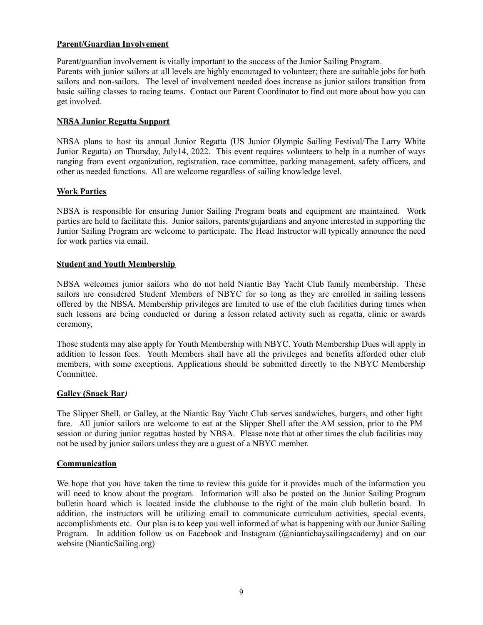#### **Parent/Guardian Involvement**

Parent/guardian involvement is vitally important to the success of the Junior Sailing Program. Parents with junior sailors at all levels are highly encouraged to volunteer; there are suitable jobs for both sailors and non-sailors. The level of involvement needed does increase as junior sailors transition from basic sailing classes to racing teams. Contact our Parent Coordinator to find out more about how you can get involved.

#### **NBSA Junior Regatta Support**

NBSA plans to host its annual Junior Regatta (US Junior Olympic Sailing Festival/The Larry White Junior Regatta) on Thursday, July14, 2022. This event requires volunteers to help in a number of ways ranging from event organization, registration, race committee, parking management, safety officers, and other as needed functions. All are welcome regardless of sailing knowledge level.

#### **Work Parties**

NBSA is responsible for ensuring Junior Sailing Program boats and equipment are maintained. Work parties are held to facilitate this. Junior sailors, parents/gujardians and anyone interested in supporting the Junior Sailing Program are welcome to participate. The Head Instructor will typically announce the need for work parties via email.

#### **Student and Youth Membership**

NBSA welcomes junior sailors who do not hold Niantic Bay Yacht Club family membership. These sailors are considered Student Members of NBYC for so long as they are enrolled in sailing lessons offered by the NBSA. Membership privileges are limited to use of the club facilities during times when such lessons are being conducted or during a lesson related activity such as regatta, clinic or awards ceremony,

Those students may also apply for Youth Membership with NBYC. Youth Membership Dues will apply in addition to lesson fees. Youth Members shall have all the privileges and benefits afforded other club members, with some exceptions. Applications should be submitted directly to the NBYC Membership Committee.

#### **Galley (Snack Bar***)*

The Slipper Shell, or Galley, at the Niantic Bay Yacht Club serves sandwiches, burgers, and other light fare. All junior sailors are welcome to eat at the Slipper Shell after the AM session, prior to the PM session or during junior regattas hosted by NBSA. Please note that at other times the club facilities may not be used by junior sailors unless they are a guest of a NBYC member.

#### **Communication**

We hope that you have taken the time to review this guide for it provides much of the information you will need to know about the program. Information will also be posted on the Junior Sailing Program bulletin board which is located inside the clubhouse to the right of the main club bulletin board. In addition, the instructors will be utilizing email to communicate curriculum activities, special events, accomplishments etc. Our plan is to keep you well informed of what is happening with our Junior Sailing Program. In addition follow us on Facebook and Instagram (@nianticbaysailingacademy) and on our website (NianticSailing.org)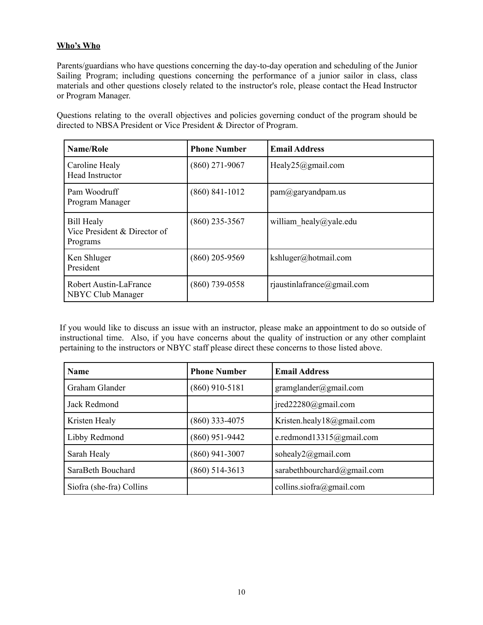# **Who's Who**

Parents/guardians who have questions concerning the day-to-day operation and scheduling of the Junior Sailing Program; including questions concerning the performance of a junior sailor in class, class materials and other questions closely related to the instructor's role, please contact the Head Instructor or Program Manager.

Questions relating to the overall objectives and policies governing conduct of the program should be directed to NBSA President or Vice President & Director of Program.

| Name/Role                                                     | <b>Phone Number</b> | <b>Email Address</b>           |
|---------------------------------------------------------------|---------------------|--------------------------------|
| Caroline Healy<br><b>Head Instructor</b>                      | $(860)$ 271-9067    | Healy25@gmail.com              |
| Pam Woodruff<br>Program Manager                               | $(860)$ 841-1012    | $pam(\partial g)$ aryandpam.us |
| <b>Bill Healy</b><br>Vice President & Director of<br>Programs | $(860)$ 235-3567    | william healy@yale.edu         |
| Ken Shluger<br>President                                      | $(860)$ 205-9569    | kshluger@hotmail.com           |
| Robert Austin-LaFrance<br>NBYC Club Manager                   | $(860)$ 739-0558    | rjaustinlafrance@gmail.com     |

If you would like to discuss an issue with an instructor, please make an appointment to do so outside of instructional time. Also, if you have concerns about the quality of instruction or any other complaint pertaining to the instructors or NBYC staff please direct these concerns to those listed above.

| <b>Name</b>              | <b>Phone Number</b> | <b>Email Address</b>        |
|--------------------------|---------------------|-----------------------------|
| Graham Glander           | $(860)$ 910-5181    | gramglander@gmail.com       |
| Jack Redmond             |                     | $jred22280$ @gmail.com      |
| Kristen Healy            | $(860)$ 333-4075    | Kristen.healy18@gmail.com   |
| Libby Redmond            | $(860)$ 951-9442    | e.redmond13315@gmail.com    |
| Sarah Healy              | $(860)$ 941-3007    | sohealy2@gmail.com          |
| SaraBeth Bouchard        | $(860)$ 514-3613    | sarabethbourchard@gmail.com |
| Siofra (she-fra) Collins |                     | collins.siofra@gmail.com    |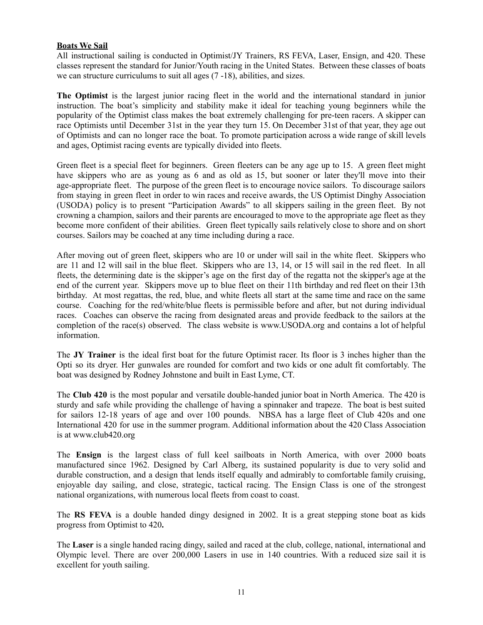#### **Boats We Sail**

All instructional sailing is conducted in Optimist/JY Trainers, RS FEVA, Laser, Ensign, and 420. These classes represent the standard for Junior/Youth racing in the United States. Between these classes of boats we can structure curriculums to suit all ages (7 -18), abilities, and sizes.

**The Optimist** is the largest junior racing fleet in the world and the international standard in junior instruction. The boat's simplicity and stability make it ideal for teaching young beginners while the popularity of the Optimist class makes the boat extremely challenging for pre-teen racers. A skipper can race Optimists until December 31st in the year they turn 15. On December 31st of that year, they age out of Optimists and can no longer race the boat. To promote participation across a wide range of skill levels and ages, Optimist racing events are typically divided into fleets.

Green fleet is a special fleet for beginners. Green fleeters can be any age up to 15. A green fleet might have skippers who are as young as 6 and as old as 15, but sooner or later they'll move into their age-appropriate fleet. The purpose of the green fleet is to encourage novice sailors. To discourage sailors from staying in green fleet in order to win races and receive awards, the US Optimist Dinghy Association (USODA) policy is to present "Participation Awards" to all skippers sailing in the green fleet. By not crowning a champion, sailors and their parents are encouraged to move to the appropriate age fleet as they become more confident of their abilities. Green fleet typically sails relatively close to shore and on short courses. Sailors may be coached at any time including during a race.

After moving out of green fleet, skippers who are 10 or under will sail in the white fleet. Skippers who are 11 and 12 will sail in the blue fleet. Skippers who are 13, 14, or 15 will sail in the red fleet. In all fleets, the determining date is the skipper's age on the first day of the regatta not the skipper's age at the end of the current year. Skippers move up to blue fleet on their 11th birthday and red fleet on their 13th birthday. At most regattas, the red, blue, and white fleets all start at the same time and race on the same course. Coaching for the red/white/blue fleets is permissible before and after, but not during individual races. Coaches can observe the racing from designated areas and provide feedback to the sailors at the completion of the race(s) observed. The class website is www.USODA.org and contains a lot of helpful information.

The **JY Trainer** is the ideal first boat for the future Optimist racer. Its floor is 3 inches higher than the Opti so its dryer. Her gunwales are rounded for comfort and two kids or one adult fit comfortably. The boat was designed by Rodney Johnstone and built in East Lyme, CT.

The **Club 420** is the most popular and versatile double-handed junior boat in North America. The 420 is sturdy and safe while providing the challenge of having a spinnaker and trapeze. The boat is best suited for sailors 12-18 years of age and over 100 pounds. NBSA has a large fleet of Club 420s and one International 420 for use in the summer program. Additional information about the 420 Class Association is at www.club420.org

The **Ensign** is the largest class of full keel sailboats in North America, with over 2000 boats manufactured since 1962. Designed by Carl Alberg, its sustained popularity is due to very solid and durable construction, and a design that lends itself equally and admirably to comfortable family cruising, enjoyable day sailing, and close, strategic, tactical racing. The Ensign Class is one of the strongest national organizations, with numerous local fleets from coast to coast.

The **RS FEVA** is a double handed dingy designed in 2002. It is a great stepping stone boat as kids progress from Optimist to 420**.**

The **Laser** is a single handed racing dingy, sailed and raced at the club, college, national, international and Olympic level. There are over 200,000 Lasers in use in 140 countries. With a reduced size sail it is excellent for youth sailing.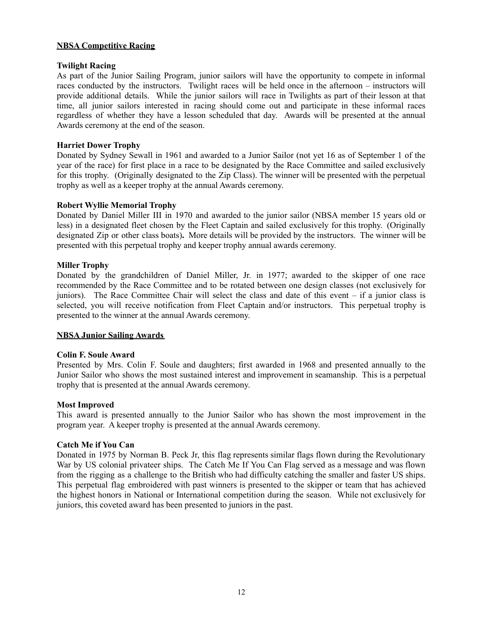#### **NBSA Competitive Racing**

#### **Twilight Racing**

As part of the Junior Sailing Program, junior sailors will have the opportunity to compete in informal races conducted by the instructors. Twilight races will be held once in the afternoon – instructors will provide additional details. While the junior sailors will race in Twilights as part of their lesson at that time, all junior sailors interested in racing should come out and participate in these informal races regardless of whether they have a lesson scheduled that day. Awards will be presented at the annual Awards ceremony at the end of the season.

#### **Harriet Dower Trophy**

Donated by Sydney Sewall in 1961 and awarded to a Junior Sailor (not yet 16 as of September 1 of the year of the race) for first place in a race to be designated by the Race Committee and sailed exclusively for this trophy. (Originally designated to the Zip Class). The winner will be presented with the perpetual trophy as well as a keeper trophy at the annual Awards ceremony.

#### **Robert Wyllie Memorial Trophy**

Donated by Daniel Miller III in 1970 and awarded to the junior sailor (NBSA member 15 years old or less) in a designated fleet chosen by the Fleet Captain and sailed exclusively for this trophy. (Originally designated Zip or other class boats)**.** More details will be provided by the instructors. The winner will be presented with this perpetual trophy and keeper trophy annual awards ceremony.

#### **Miller Trophy**

Donated by the grandchildren of Daniel Miller, Jr. in 1977; awarded to the skipper of one race recommended by the Race Committee and to be rotated between one design classes (not exclusively for juniors). The Race Committee Chair will select the class and date of this event – if a junior class is selected, you will receive notification from Fleet Captain and/or instructors. This perpetual trophy is presented to the winner at the annual Awards ceremony.

#### **NBSA Junior Sailing Awards**

#### **Colin F. Soule Award**

Presented by Mrs. Colin F. Soule and daughters; first awarded in 1968 and presented annually to the Junior Sailor who shows the most sustained interest and improvement in seamanship. This is a perpetual trophy that is presented at the annual Awards ceremony.

#### **Most Improved**

This award is presented annually to the Junior Sailor who has shown the most improvement in the program year. A keeper trophy is presented at the annual Awards ceremony.

#### **Catch Me if You Can**

Donated in 1975 by Norman B. Peck Jr, this flag represents similar flags flown during the Revolutionary War by US colonial privateer ships. The Catch Me If You Can Flag served as a message and was flown from the rigging as a challenge to the British who had difficulty catching the smaller and faster US ships. This perpetual flag embroidered with past winners is presented to the skipper or team that has achieved the highest honors in National or International competition during the season. While not exclusively for juniors, this coveted award has been presented to juniors in the past.